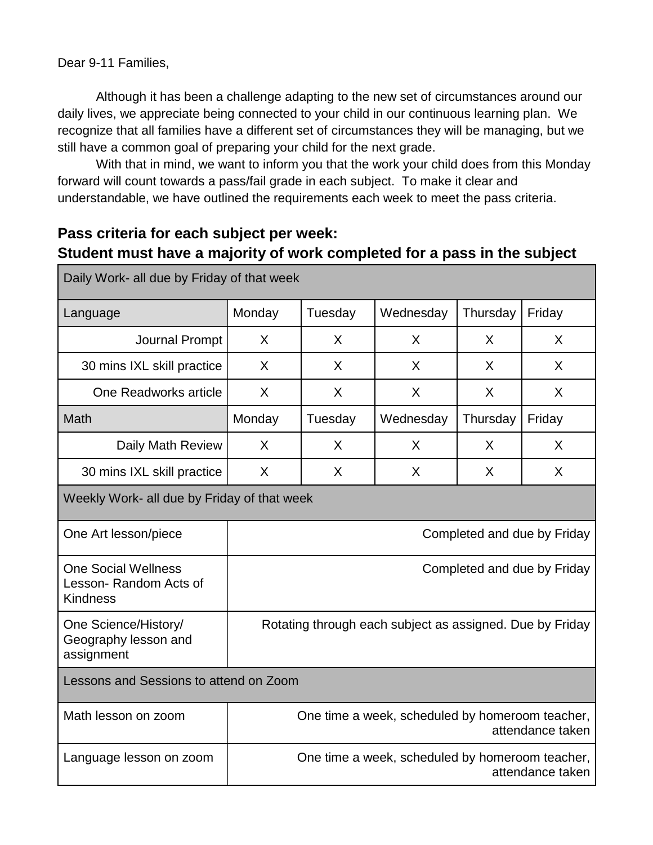Dear 9-11 Families,

Although it has been a challenge adapting to the new set of circumstances around our daily lives, we appreciate being connected to your child in our continuous learning plan. We recognize that all families have a different set of circumstances they will be managing, but we still have a common goal of preparing your child for the next grade.

With that in mind, we want to inform you that the work your child does from this Monday forward will count towards a pass/fail grade in each subject. To make it clear and understandable, we have outlined the requirements each week to meet the pass criteria.

## **Pass criteria for each subject per week: Student must have a majority of work completed for a pass in the subject**

| Daily Work- all due by Friday of that week                             |                                                                     |         |           |          |        |
|------------------------------------------------------------------------|---------------------------------------------------------------------|---------|-----------|----------|--------|
| Language                                                               | Monday                                                              | Tuesday | Wednesday | Thursday | Friday |
| <b>Journal Prompt</b>                                                  | X                                                                   | X       | X         | X        | X      |
| 30 mins IXL skill practice                                             | X                                                                   | X       | X         | X        | X      |
| One Readworks article                                                  | X                                                                   | X       | X         | X        | X      |
| Math                                                                   | Monday                                                              | Tuesday | Wednesday | Thursday | Friday |
| Daily Math Review                                                      | X                                                                   | X       | X         | X        | X      |
| 30 mins IXL skill practice                                             | X                                                                   | X       | X         | X        | X      |
| Weekly Work- all due by Friday of that week                            |                                                                     |         |           |          |        |
| One Art lesson/piece                                                   | Completed and due by Friday                                         |         |           |          |        |
| <b>One Social Wellness</b><br>Lesson-Random Acts of<br><b>Kindness</b> | Completed and due by Friday                                         |         |           |          |        |
| One Science/History/<br>Geography lesson and<br>assignment             | Rotating through each subject as assigned. Due by Friday            |         |           |          |        |
| Lessons and Sessions to attend on Zoom                                 |                                                                     |         |           |          |        |
| Math lesson on zoom                                                    | One time a week, scheduled by homeroom teacher,<br>attendance taken |         |           |          |        |
| Language lesson on zoom                                                | One time a week, scheduled by homeroom teacher,<br>attendance taken |         |           |          |        |